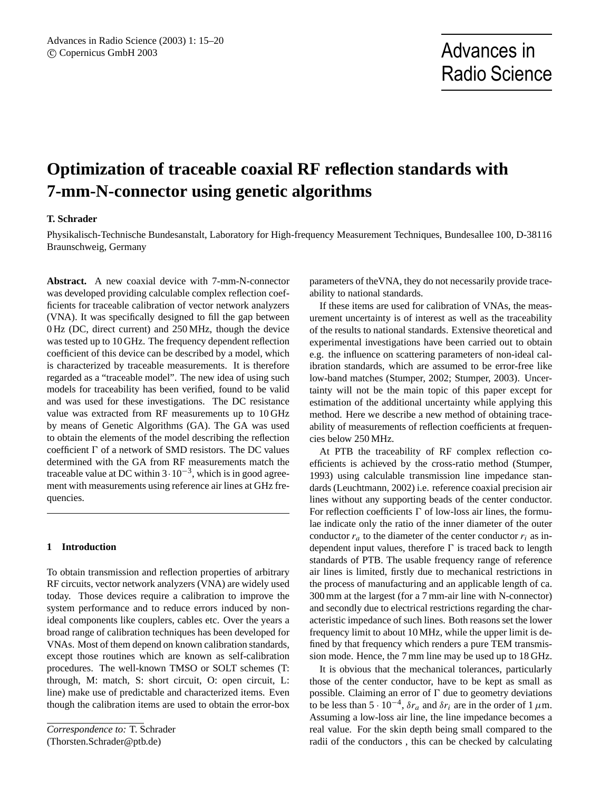# **Optimization of traceable coaxial RF reflection standards with 7-mm-N-connector using genetic algorithms**

# **T. Schrader**

Physikalisch-Technische Bundesanstalt, Laboratory for High-frequency Measurement Techniques, Bundesallee 100, D-38116 Braunschweig, Germany

**Abstract.** A new coaxial device with 7-mm-N-connector was developed providing calculable complex reflection coefficients for traceable calibration of vector network analyzers (VNA). It was specifically designed to fill the gap between 0 Hz (DC, direct current) and 250 MHz, though the device was tested up to 10 GHz. The frequency dependent reflection coefficient of this device can be described by a model, which is characterized by traceable measurements. It is therefore regarded as a "traceable model". The new idea of using such models for traceability has been verified, found to be valid and was used for these investigations. The DC resistance value was extracted from RF measurements up to 10 GHz by means of Genetic Algorithms (GA). The GA was used to obtain the elements of the model describing the reflection coefficient  $\Gamma$  of a network of SMD resistors. The DC values determined with the GA from RF measurements match the traceable value at DC within  $3 \cdot 10^{-3}$ , which is in good agreement with measurements using reference air lines at GHz frequencies.

## **1 Introduction**

To obtain transmission and reflection properties of arbitrary RF circuits, vector network analyzers (VNA) are widely used today. Those devices require a calibration to improve the system performance and to reduce errors induced by nonideal components like couplers, cables etc. Over the years a broad range of calibration techniques has been developed for VNAs. Most of them depend on known calibration standards, except those routines which are known as self-calibration procedures. The well-known TMSO or SOLT schemes (T: through, M: match, S: short circuit, O: open circuit, L: line) make use of predictable and characterized items. Even though the calibration items are used to obtain the error-box

*Correspondence to:* T. Schrader (Thorsten.Schrader@ptb.de)

parameters of theVNA, they do not necessarily provide traceability to national standards.

If these items are used for calibration of VNAs, the measurement uncertainty is of interest as well as the traceability of the results to national standards. Extensive theoretical and experimental investigations have been carried out to obtain e.g. the influence on scattering parameters of non-ideal calibration standards, which are assumed to be error-free like low-band matches (Stumper, 2002; Stumper, 2003). Uncertainty will not be the main topic of this paper except for estimation of the additional uncertainty while applying this method. Here we describe a new method of obtaining traceability of measurements of reflection coefficients at frequencies below 250 MHz.

At PTB the traceability of RF complex reflection coefficients is achieved by the cross-ratio method (Stumper, 1993) using calculable transmission line impedance standards (Leuchtmann, 2002) i.e. reference coaxial precision air lines without any supporting beads of the center conductor. For reflection coefficients  $\Gamma$  of low-loss air lines, the formulae indicate only the ratio of the inner diameter of the outer conductor  $r_a$  to the diameter of the center conductor  $r_i$  as independent input values, therefore  $\Gamma$  is traced back to length standards of PTB. The usable frequency range of reference air lines is limited, firstly due to mechanical restrictions in the process of manufacturing and an applicable length of ca. 300 mm at the largest (for a 7 mm-air line with N-connector) and secondly due to electrical restrictions regarding the characteristic impedance of such lines. Both reasons set the lower frequency limit to about 10 MHz, while the upper limit is defined by that frequency which renders a pure TEM transmission mode. Hence, the 7 mm line may be used up to 18 GHz.

It is obvious that the mechanical tolerances, particularly those of the center conductor, have to be kept as small as possible. Claiming an error of  $\Gamma$  due to geometry deviations to be less than 5 ·  $10^{-4}$ ,  $\delta r_a$  and  $\delta r_i$  are in the order of 1  $\mu$ m. Assuming a low-loss air line, the line impedance becomes a real value. For the skin depth being small compared to the radii of the conductors , this can be checked by calculating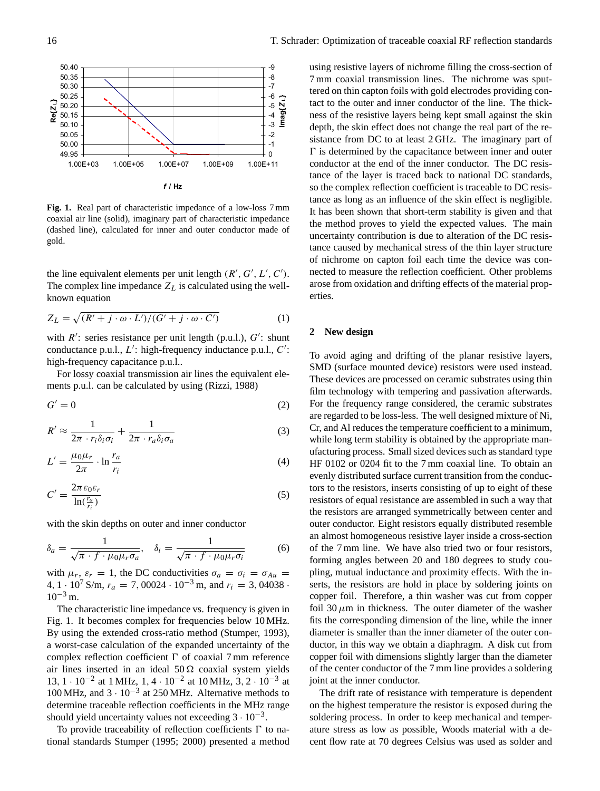

**Fig. 1.** Real part of characteristic impedance of a low-loss 7 mm coaxial air line (solid), imaginary part of characteristic impedance (dashed line), calculated for inner and outer conductor made of gold.

the line equivalent elements per unit length  $(R', G', L', C')$ . The complex line impedance  $Z_L$  is calculated using the wellknown equation

$$
Z_L = \sqrt{(R' + j \cdot \omega \cdot L')/(G' + j \cdot \omega \cdot C')}
$$
 (1)

with  $R'$ : series resistance per unit length (p.u.l.),  $G'$ : shunt conductance p.u.l.,  $L'$ : high-frequency inductance p.u.l.,  $C'$ : high-frequency capacitance p.u.l..

For lossy coaxial transmission air lines the equivalent elements p.u.l. can be calculated by using (Rizzi, 1988)

$$
G' = 0 \tag{2}
$$

$$
R' \approx \frac{1}{2\pi \cdot r_i \delta_i \sigma_i} + \frac{1}{2\pi \cdot r_a \delta_i \sigma_a} \tag{3}
$$

$$
L' = \frac{\mu_0 \mu_r}{2\pi} \cdot \ln \frac{r_a}{r_i} \tag{4}
$$

$$
C' = \frac{2\pi\epsilon_0 \epsilon_r}{\ln(\frac{r_a}{r_i})}
$$
\n<sup>(5)</sup>

with the skin depths on outer and inner conductor

$$
\delta_a = \frac{1}{\sqrt{\pi \cdot f \cdot \mu_0 \mu_r \sigma_a}}, \quad \delta_i = \frac{1}{\sqrt{\pi \cdot f \cdot \mu_0 \mu_r \sigma_i}} \tag{6}
$$

with  $\mu_r$ ,  $\varepsilon_r = 1$ , the DC conductivities  $\sigma_a = \sigma_i = \sigma_{Au}$ 4, 1 · 10<sup>7</sup> S/m,  $r_a = 7$ , 00024 · 10<sup>-3</sup> m, and  $r_i = 3$ , 04038 ·  $10^{-3}$  m.

The characteristic line impedance vs. frequency is given in Fig. 1. It becomes complex for frequencies below 10 MHz. By using the extended cross-ratio method (Stumper, 1993), a worst-case calculation of the expanded uncertainty of the complex reflection coefficient  $\Gamma$  of coaxial 7 mm reference air lines inserted in an ideal  $50 \Omega$  coaxial system yields 13, 1 · 10<sup>-2</sup> at 1 MHz, 1, 4 · 10<sup>-2</sup> at 10 MHz, 3, 2 · 10<sup>-3</sup> at 100 MHz, and 3 · 10−<sup>3</sup> at 250 MHz. Alternative methods to determine traceable reflection coefficients in the MHz range should yield uncertainty values not exceeding  $3 \cdot 10^{-3}$ .

To provide traceability of reflection coefficients  $\Gamma$  to national standards Stumper (1995; 2000) presented a method using resistive layers of nichrome filling the cross-section of 7 mm coaxial transmission lines. The nichrome was sputtered on thin capton foils with gold electrodes providing contact to the outer and inner conductor of the line. The thickness of the resistive layers being kept small against the skin depth, the skin effect does not change the real part of the resistance from DC to at least 2 GHz. The imaginary part of  $\Gamma$  is determined by the capacitance between inner and outer conductor at the end of the inner conductor. The DC resistance of the layer is traced back to national DC standards, so the complex reflection coefficient is traceable to DC resistance as long as an influence of the skin effect is negligible. It has been shown that short-term stability is given and that the method proves to yield the expected values. The main uncertainty contribution is due to alteration of the DC resistance caused by mechanical stress of the thin layer structure of nichrome on capton foil each time the device was connected to measure the reflection coefficient. Other problems arose from oxidation and drifting effects of the material properties.

# **2 New design**

To avoid aging and drifting of the planar resistive layers, SMD (surface mounted device) resistors were used instead. These devices are processed on ceramic substrates using thin film technology with tempering and passivation afterwards. For the frequency range considered, the ceramic substrates are regarded to be loss-less. The well designed mixture of Ni, Cr, and Al reduces the temperature coefficient to a minimum, while long term stability is obtained by the appropriate manufacturing process. Small sized devices such as standard type HF 0102 or 0204 fit to the 7 mm coaxial line. To obtain an evenly distributed surface current transition from the conductors to the resistors, inserts consisting of up to eight of these resistors of equal resistance are assembled in such a way that the resistors are arranged symmetrically between center and outer conductor. Eight resistors equally distributed resemble an almost homogeneous resistive layer inside a cross-section of the 7 mm line. We have also tried two or four resistors, forming angles between 20 and 180 degrees to study coupling, mutual inductance and proximity effects. With the inserts, the resistors are hold in place by soldering joints on copper foil. Therefore, a thin washer was cut from copper foil 30  $\mu$ m in thickness. The outer diameter of the washer fits the corresponding dimension of the line, while the inner diameter is smaller than the inner diameter of the outer conductor, in this way we obtain a diaphragm. A disk cut from copper foil with dimensions slightly larger than the diameter of the center conductor of the 7 mm line provides a soldering joint at the inner conductor.

The drift rate of resistance with temperature is dependent on the highest temperature the resistor is exposed during the soldering process. In order to keep mechanical and temperature stress as low as possible, Woods material with a decent flow rate at 70 degrees Celsius was used as solder and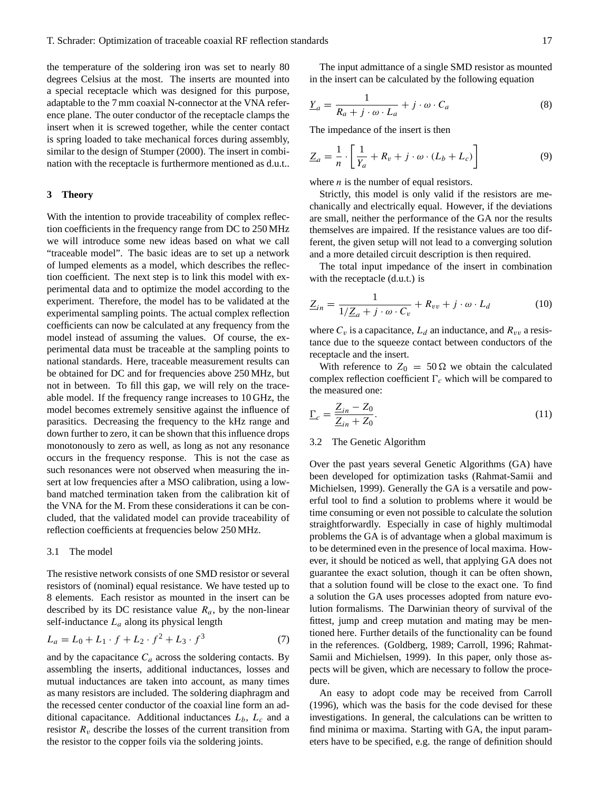the temperature of the soldering iron was set to nearly 80 degrees Celsius at the most. The inserts are mounted into a special receptacle which was designed for this purpose, adaptable to the 7 mm coaxial N-connector at the VNA reference plane. The outer conductor of the receptacle clamps the insert when it is screwed together, while the center contact is spring loaded to take mechanical forces during assembly, similar to the design of Stumper (2000). The insert in combination with the receptacle is furthermore mentioned as d.u.t..

### **3 Theory**

With the intention to provide traceability of complex reflection coefficients in the frequency range from DC to 250 MHz we will introduce some new ideas based on what we call "traceable model". The basic ideas are to set up a network of lumped elements as a model, which describes the reflection coefficient. The next step is to link this model with experimental data and to optimize the model according to the experiment. Therefore, the model has to be validated at the experimental sampling points. The actual complex reflection coefficients can now be calculated at any frequency from the model instead of assuming the values. Of course, the experimental data must be traceable at the sampling points to national standards. Here, traceable measurement results can be obtained for DC and for frequencies above 250 MHz, but not in between. To fill this gap, we will rely on the traceable model. If the frequency range increases to 10 GHz, the model becomes extremely sensitive against the influence of parasitics. Decreasing the frequency to the kHz range and down further to zero, it can be shown that this influence drops monotonously to zero as well, as long as not any resonance occurs in the frequency response. This is not the case as such resonances were not observed when measuring the insert at low frequencies after a MSO calibration, using a lowband matched termination taken from the calibration kit of the VNA for the M. From these considerations it can be concluded, that the validated model can provide traceability of reflection coefficients at frequencies below 250 MHz.

## 3.1 The model

The resistive network consists of one SMD resistor or several resistors of (nominal) equal resistance. We have tested up to 8 elements. Each resistor as mounted in the insert can be described by its DC resistance value  $R_a$ , by the non-linear self-inductance  $L_a$  along its physical length

$$
L_a = L_0 + L_1 \cdot f + L_2 \cdot f^2 + L_3 \cdot f^3 \tag{7}
$$

and by the capacitance  $C_a$  across the soldering contacts. By assembling the inserts, additional inductances, losses and mutual inductances are taken into account, as many times as many resistors are included. The soldering diaphragm and the recessed center conductor of the coaxial line form an additional capacitance. Additional inductances  $L_b$ ,  $L_c$  and a resistor  $R_v$  describe the losses of the current transition from the resistor to the copper foils via the soldering joints.

The input admittance of a single SMD resistor as mounted in the insert can be calculated by the following equation

$$
\underline{Y}_a = \frac{1}{R_a + j \cdot \omega \cdot L_a} + j \cdot \omega \cdot C_a \tag{8}
$$

The impedance of the insert is then

$$
\underline{Z}_a = \frac{1}{n} \cdot \left[ \frac{1}{Y_a} + R_v + j \cdot \omega \cdot (L_b + L_c) \right] \tag{9}
$$

where  $n$  is the number of equal resistors.

Strictly, this model is only valid if the resistors are mechanically and electrically equal. However, if the deviations are small, neither the performance of the GA nor the results themselves are impaired. If the resistance values are too different, the given setup will not lead to a converging solution and a more detailed circuit description is then required.

The total input impedance of the insert in combination with the receptacle (d.u.t.) is

$$
\underline{Z}_{in} = \frac{1}{1/\underline{Z}_a + j \cdot \omega \cdot C_v} + R_{vv} + j \cdot \omega \cdot L_d \tag{10}
$$

where  $C_v$  is a capacitance,  $L_d$  an inductance, and  $R_{vv}$  a resistance due to the squeeze contact between conductors of the receptacle and the insert.

With reference to  $Z_0 = 50 \Omega$  we obtain the calculated complex reflection coefficient  $\Gamma_c$  which will be compared to the measured one:

$$
\underline{\Gamma}_c = \frac{\underline{Z}_{in} - Z_0}{\underline{Z}_{in} + Z_0}.\tag{11}
$$

#### 3.2 The Genetic Algorithm

Over the past years several Genetic Algorithms (GA) have been developed for optimization tasks (Rahmat-Samii and Michielsen, 1999). Generally the GA is a versatile and powerful tool to find a solution to problems where it would be time consuming or even not possible to calculate the solution straightforwardly. Especially in case of highly multimodal problems the GA is of advantage when a global maximum is to be determined even in the presence of local maxima. However, it should be noticed as well, that applying GA does not guarantee the exact solution, though it can be often shown, that a solution found will be close to the exact one. To find a solution the GA uses processes adopted from nature evolution formalisms. The Darwinian theory of survival of the fittest, jump and creep mutation and mating may be mentioned here. Further details of the functionality can be found in the references. (Goldberg, 1989; Carroll, 1996; Rahmat-Samii and Michielsen, 1999). In this paper, only those aspects will be given, which are necessary to follow the procedure.

An easy to adopt code may be received from Carroll (1996), which was the basis for the code devised for these investigations. In general, the calculations can be written to find minima or maxima. Starting with GA, the input parameters have to be specified, e.g. the range of definition should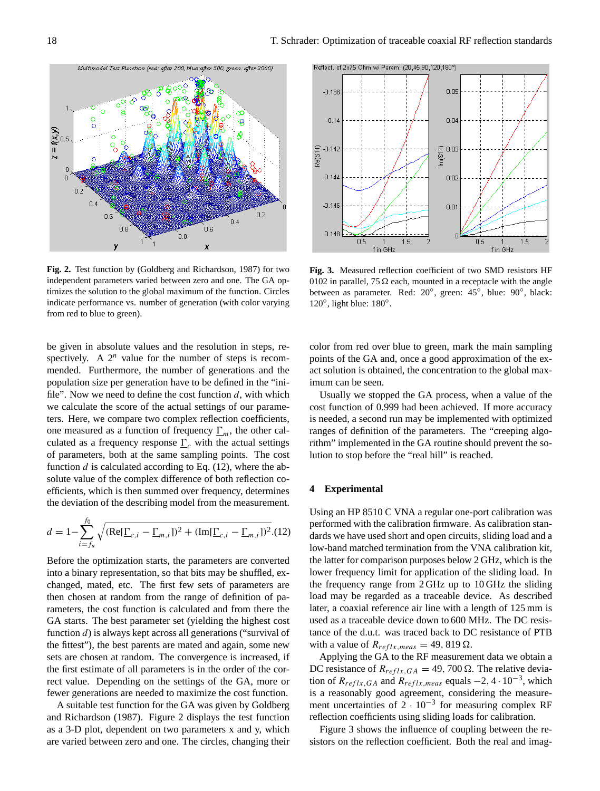

**Fig. 2.** Test function by (Goldberg and Richardson, 1987) for two independent parameters varied between zero and one. The GA optimizes the solution to the global maximum of the function. Circles indicate performance vs. number of generation (with color varying from red to blue to green).

be given in absolute values and the resolution in steps, respectively. A  $2^n$  value for the number of steps is recommended. Furthermore, the number of generations and the population size per generation have to be defined in the "inifile". Now we need to define the cost function  $d$ , with which we calculate the score of the actual settings of our parameters. Here, we compare two complex reflection coefficients, one measured as a function of frequency  $\Gamma_m$ , the other calculated as a frequency response  $\Gamma_c$  with the actual settings of parameters, both at the same sampling points. The cost function  $d$  is calculated according to Eq. (12), where the absolute value of the complex difference of both reflection coefficients, which is then summed over frequency, determines the deviation of the describing model from the measurement.

$$
d = 1 - \sum_{i=f_u}^{f_0} \sqrt{(\text{Re}[\underline{\Gamma}_{c,i} - \underline{\Gamma}_{m,i}])^2 + (\text{Im}[\underline{\Gamma}_{c,i} - \underline{\Gamma}_{m,i}])^2}.
$$
(12)

Before the optimization starts, the parameters are converted into a binary representation, so that bits may be shuffled, exchanged, mated, etc. The first few sets of parameters are then chosen at random from the range of definition of parameters, the cost function is calculated and from there the GA starts. The best parameter set (yielding the highest cost function d) is always kept across all generations ("survival of the fittest"), the best parents are mated and again, some new sets are chosen at random. The convergence is increased, if the first estimate of all parameters is in the order of the correct value. Depending on the settings of the GA, more or fewer generations are needed to maximize the cost function.

A suitable test function for the GA was given by Goldberg and Richardson (1987). Figure 2 displays the test function as a 3-D plot, dependent on two parameters x and y, which are varied between zero and one. The circles, changing their



**Fig. 3.** Measured reflection coefficient of two SMD resistors HF 0102 in parallel, 75  $\Omega$  each, mounted in a receptacle with the angle between as parameter. Red: 20°, green: 45°, blue: 90°, black: 120°, light blue: 180°.

color from red over blue to green, mark the main sampling points of the GA and, once a good approximation of the exact solution is obtained, the concentration to the global maximum can be seen.

Usually we stopped the GA process, when a value of the cost function of 0.999 had been achieved. If more accuracy is needed, a second run may be implemented with optimized ranges of definition of the parameters. The "creeping algorithm" implemented in the GA routine should prevent the solution to stop before the "real hill" is reached.

### **4 Experimental**

Using an HP 8510 C VNA a regular one-port calibration was performed with the calibration firmware. As calibration standards we have used short and open circuits, sliding load and a low-band matched termination from the VNA calibration kit, the latter for comparison purposes below 2 GHz, which is the lower frequency limit for application of the sliding load. In the frequency range from 2 GHz up to 10 GHz the sliding load may be regarded as a traceable device. As described later, a coaxial reference air line with a length of 125 mm is used as a traceable device down to 600 MHz. The DC resistance of the d.u.t. was traced back to DC resistance of PTB with a value of  $R_{reflx,meas} = 49,819 \Omega$ .

Applying the GA to the RF measurement data we obtain a DC resistance of  $R_{reflx,GA} = 49,700 \Omega$ . The relative deviation of  $R_{reflx,GA}$  and  $R_{reflx,meas}$  equals  $-2$ , 4 · 10<sup>-3</sup>, which is a reasonably good agreement, considering the measurement uncertainties of  $2 \cdot 10^{-3}$  for measuring complex RF reflection coefficients using sliding loads for calibration.

Figure 3 shows the influence of coupling between the resistors on the reflection coefficient. Both the real and imag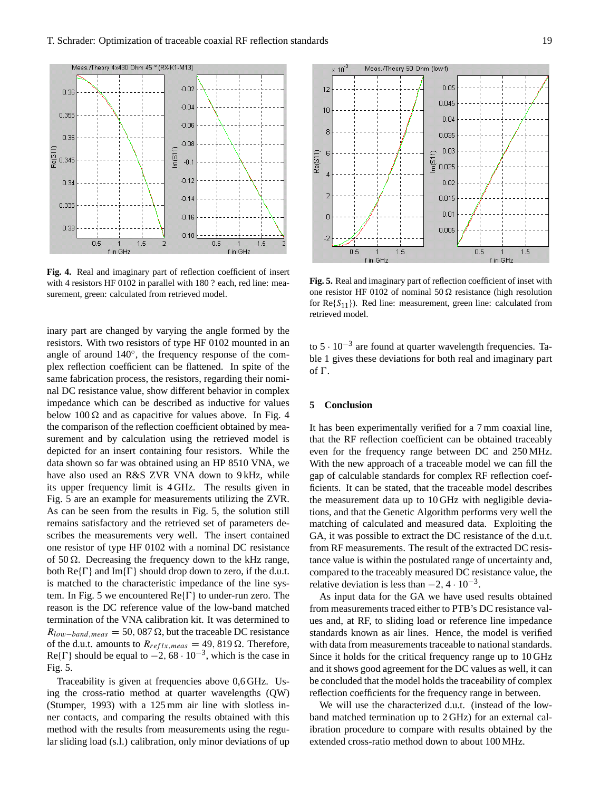$0.36$ 

 $0.355$ 

 $0.35$ 

 $0.345$ 

 $0.34$ 

 $0.335$ 

 $0.33$ 

 $0.5$ 

Re(S11)



 $1.5$ 

f in GHz

inary part are changed by varying the angle formed by the resistors. With two resistors of type HF 0102 mounted in an angle of around 140◦ , the frequency response of the complex reflection coefficient can be flattened. In spite of the same fabrication process, the resistors, regarding their nominal DC resistance value, show different behavior in complex impedance which can be described as inductive for values below 100  $\Omega$  and as capacitive for values above. In Fig. 4 the comparison of the reflection coefficient obtained by measurement and by calculation using the retrieved model is depicted for an insert containing four resistors. While the data shown so far was obtained using an HP 8510 VNA, we have also used an R&S ZVR VNA down to 9 kHz, while its upper frequency limit is 4 GHz. The results given in Fig. 5 are an example for measurements utilizing the ZVR. As can be seen from the results in Fig. 5, the solution still remains satisfactory and the retrieved set of parameters describes the measurements very well. The insert contained one resistor of type HF 0102 with a nominal DC resistance of 50  $\Omega$ . Decreasing the frequency down to the kHz range, both  $\text{Re}\{\Gamma\}$  and  $\text{Im}\{\Gamma\}$  should drop down to zero, if the d.u.t. is matched to the characteristic impedance of the line system. In Fig. 5 we encountered  $\text{Re}\{\Gamma\}$  to under-run zero. The reason is the DC reference value of the low-band matched termination of the VNA calibration kit. It was determined to  $R_{low-band,meas} = 50,087 \Omega$ , but the traceable DC resistance of the d.u.t. amounts to  $R_{reflx,meas} = 49,819 \Omega$ . Therefore, Re{ $\Gamma$ } should be equal to  $-2$ , 68 · 10<sup>-3</sup>, which is the case in Fig. 5.

Traceability is given at frequencies above 0,6 GHz. Using the cross-ratio method at quarter wavelengths (QW) (Stumper, 1993) with a 125 mm air line with slotless inner contacts, and comparing the results obtained with this method with the results from measurements using the regular sliding load (s.l.) calibration, only minor deviations of up

**Fig. 5.** Real and imaginary part of reflection coefficient of inset with one resistor HF 0102 of nominal 50  $\Omega$  resistance (high resolution for  $Re{S_{11}}$ ). Red line: measurement, green line: calculated from retrieved model.

 $0.5$ 

f in GHz

 $1<sub>5</sub>$ 

to  $5 \cdot 10^{-3}$  are found at quarter wavelength frequencies. Table 1 gives these deviations for both real and imaginary part of  $\Gamma$ .

## **5 Conclusion**

It has been experimentally verified for a 7 mm coaxial line, that the RF reflection coefficient can be obtained traceably even for the frequency range between DC and 250 MHz. With the new approach of a traceable model we can fill the gap of calculable standards for complex RF reflection coefficients. It can be stated, that the traceable model describes the measurement data up to 10 GHz with negligible deviations, and that the Genetic Algorithm performs very well the matching of calculated and measured data. Exploiting the GA, it was possible to extract the DC resistance of the d.u.t. from RF measurements. The result of the extracted DC resistance value is within the postulated range of uncertainty and, compared to the traceably measured DC resistance value, the relative deviation is less than  $-2$ , 4 · 10<sup>-3</sup>.

As input data for the GA we have used results obtained from measurements traced either to PTB's DC resistance values and, at RF, to sliding load or reference line impedance standards known as air lines. Hence, the model is verified with data from measurements traceable to national standards. Since it holds for the critical frequency range up to 10 GHz and it shows good agreement for the DC values as well, it can be concluded that the model holds the traceability of complex reflection coefficients for the frequency range in between.

We will use the characterized d.u.t. (instead of the lowband matched termination up to 2 GHz) for an external calibration procedure to compare with results obtained by the extended cross-ratio method down to about 100 MHz.